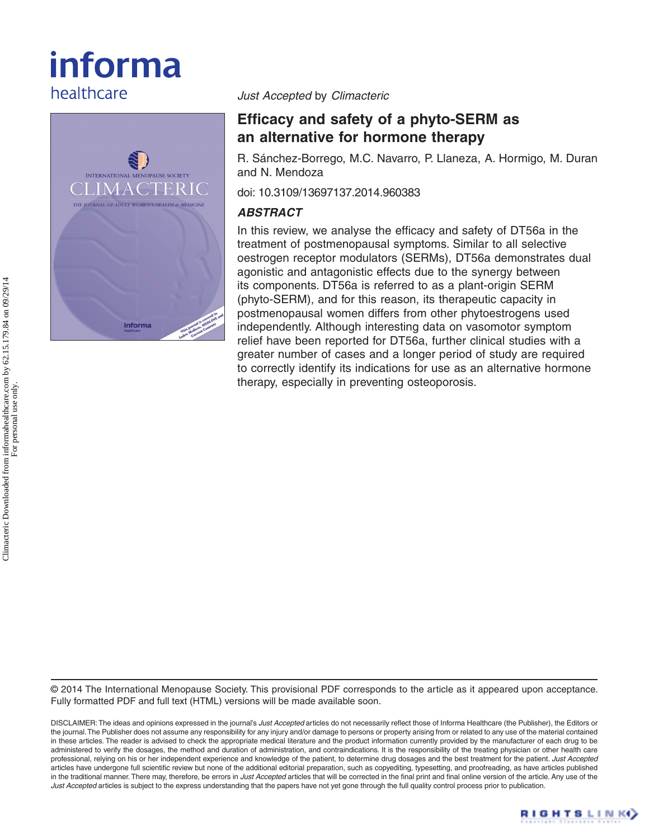# informa healthcare



*Just Accepted* by *Climacteric*

# **Efficacy and safety of a phyto-SERM as an alternative for hormone therapy**

R. Sánchez-Borrego, M.C. Navarro, P. Llaneza, A. Hormigo, M. Duran and N. Mendoza

doi: 10.3109/13697137.2014.960383

# *ABSTRACT*

In this review, we analyse the efficacy and safety of DT56a in the treatment of postmenopausal symptoms. Similar to all selective oestrogen receptor modulators (SERMs), DT56a demonstrates dual agonistic and antagonistic effects due to the synergy between its components. DT56a is referred to as a plant-origin SERM (phyto-SERM), and for this reason, its therapeutic capacity in postmenopausal women differs from other phytoestrogens used independently. Although interesting data on vasomotor symptom relief have been reported for DT56a, further clinical studies with a greater number of cases and a longer period of study are required to correctly identify its indications for use as an alternative hormone therapy, especially in preventing osteoporosis.

© 2014 The International Menopause Society. This provisional PDF corresponds to the article as it appeared upon acceptance. Fully formatted PDF and full text (HTML) versions will be made available soon.

DISCLAIMER: The ideas and opinions expressed in the journal's *Just Accepted* articles do not necessarily reflect those of Informa Healthcare (the Publisher), the Editors or the journal. The Publisher does not assume any responsibility for any injury and/or damage to persons or property arising from or related to any use of the material contained in these articles. The reader is advised to check the appropriate medical literature and the product information currently provided by the manufacturer of each drug to be administered to verify the dosages, the method and duration of administration, and contraindications. It is the responsibility of the treating physician or other health care professional, relying on his or her independent experience and knowledge of the patient, to determine drug dosages and the best treatment for the patient. *Just Accepted* articles have undergone full scientific review but none of the additional editorial preparation, such as copyediting, typesetting, and proofreading, as have articles published in the traditional manner. There may, therefore, be errors in *Just Accepted* articles that will be corrected in the final print and final online version of the article. Any use of the *Just Accepted* articles is subject to the express understanding that the papers have not yet gone through the full quality control process prior to publication.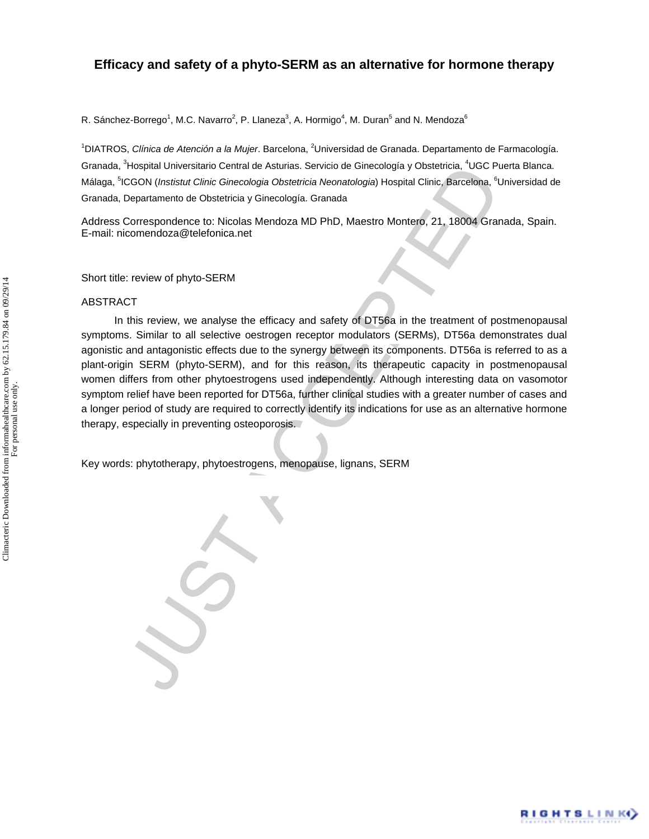# **Efficacy and safety of a phyto-SERM as an alternative for hormone therapy**

R. Sánchez-Borrego<sup>1</sup>, M.C. Navarro<sup>2</sup>, P. Llaneza<sup>3</sup>, A. Hormigo<sup>4</sup>, M. Duran<sup>5</sup> and N. Mendoza<sup>6</sup>

<sup>1</sup>DIATROS, Clínica de Atención a la Mujer. Barcelona, <sup>2</sup>Universidad de Granada. Departamento de Farmacología. Granada, <sup>3</sup>Hospital Universitario Central de Asturias. Servicio de Ginecología y Obstetricia, <sup>4</sup>UGC Puerta Blanca. Málaga, <sup>5</sup>ICGON (*Instistut Clinic Ginecologia Obstetricia Neonatologia*) Hospital Clinic, Barcelona, <sup>6</sup>Universidad de Granada, Departamento de Obstetricia y Ginecología. Granada

Address Correspondence to: Nicolas Mendoza MD PhD, Maestro Montero, 21, 18004 Granada, Spain. E-mail: nicomendoza@telefonica.net

Short title: review of phyto-SERM

#### ABSTRACT

Trieghtal Universation Central de Asturas. Service de Ginecologia y Obstetnica. "UGC PICSOM (Institut Clinic Ginecologia Obstetnica Neonatologia) Hospital Clinic, Barcelona, <sup>1</sup>t<br>Departamento de Obstetnica y Ginecologia Ob In this review, we analyse the efficacy and safety of DT56a in the treatment of postmenopausal symptoms. Similar to all selective oestrogen receptor modulators (SERMs), DT56a demonstrates dual agonistic and antagonistic effects due to the synergy between its components. DT56a is referred to as a plant-origin SERM (phyto-SERM), and for this reason, its therapeutic capacity in postmenopausal women differs from other phytoestrogens used independently. Although interesting data on vasomotor symptom relief have been reported for DT56a, further clinical studies with a greater number of cases and a longer period of study are required to correctly identify its indications for use as an alternative hormone therapy, especially in preventing osteoporosis.

Key words: phytotherapy, phytoestrogens, menopause, lignans, SERM

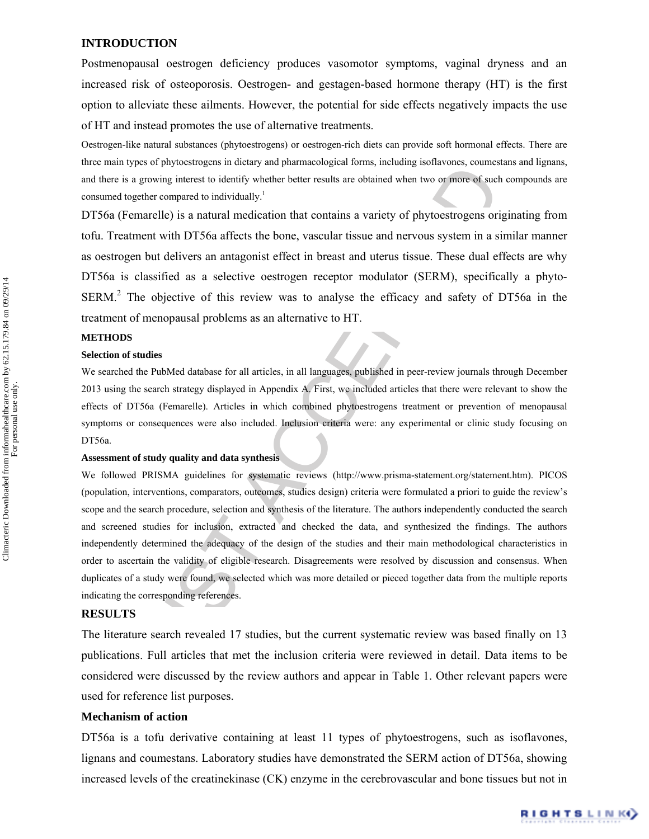#### **INTRODUCTION**

Postmenopausal oestrogen deficiency produces vasomotor symptoms, vaginal dryness and an increased risk of osteoporosis. Oestrogen- and gestagen-based hormone therapy (HT) is the first option to alleviate these ailments. However, the potential for side effects negatively impacts the use of HT and instead promotes the use of alternative treatments.

Oestrogen-like natural substances (phytoestrogens) or oestrogen-rich diets can provide soft hormonal effects. There are three main types of phytoestrogens in dietary and pharmacological forms, including isoflavones, coumestans and lignans, and there is a growing interest to identify whether better results are obtained when two or more of such compounds are consumed together compared to individually.<sup>1</sup>

DT56a (Femarelle) is a natural medication that contains a variety of phytoestrogens originating from tofu. Treatment with DT56a affects the bone, vascular tissue and nervous system in a similar manner as oestrogen but delivers an antagonist effect in breast and uterus tissue. These dual effects are why DT56a is classified as a selective oestrogen receptor modulator (SERM), specifically a phyto- $SERM<sup>2</sup>$  The objective of this review was to analyse the efficacy and safety of DT56a in the treatment of menopausal problems as an alternative to HT.

## **METHODS**

#### **Selection of studies**

We searched the PubMed database for all articles, in all languages, published in peer-review journals through December 2013 using the search strategy displayed in Appendix A. First, we included articles that there were relevant to show the effects of DT56a (Femarelle). Articles in which combined phytoestrogens treatment or prevention of menopausal symptoms or consequences were also included. Inclusion criteria were: any experimental or clinic study focusing on DT56a.

#### **Assessment of study quality and data synthesis**

by so a powing interact to identify whether better results are obtained solar on once of such<br>is a growing interest to identify whether better results are obtained when two or more of such<br>together compared to individually We followed PRISMA guidelines for systematic reviews (http://www.prisma-statement.org/statement.htm). PICOS (population, interventions, comparators, outcomes, studies design) criteria were formulated a priori to guide the review's scope and the search procedure, selection and synthesis of the literature. The authors independently conducted the search and screened studies for inclusion, extracted and checked the data, and synthesized the findings. The authors independently determined the adequacy of the design of the studies and their main methodological characteristics in order to ascertain the validity of eligible research. Disagreements were resolved by discussion and consensus. When duplicates of a study were found, we selected which was more detailed or pieced together data from the multiple reports indicating the corresponding references.

# **RESULTS**

The literature search revealed 17 studies, but the current systematic review was based finally on 13 publications. Full articles that met the inclusion criteria were reviewed in detail. Data items to be considered were discussed by the review authors and appear in Table 1. Other relevant papers were used for reference list purposes.

#### **Mechanism of action**

DT56a is a tofu derivative containing at least 11 types of phytoestrogens, such as isoflavones, lignans and coumestans. Laboratory studies have demonstrated the SERM action of DT56a, showing increased levels of the creatinekinase (CK) enzyme in the cerebrovascular and bone tissues but not in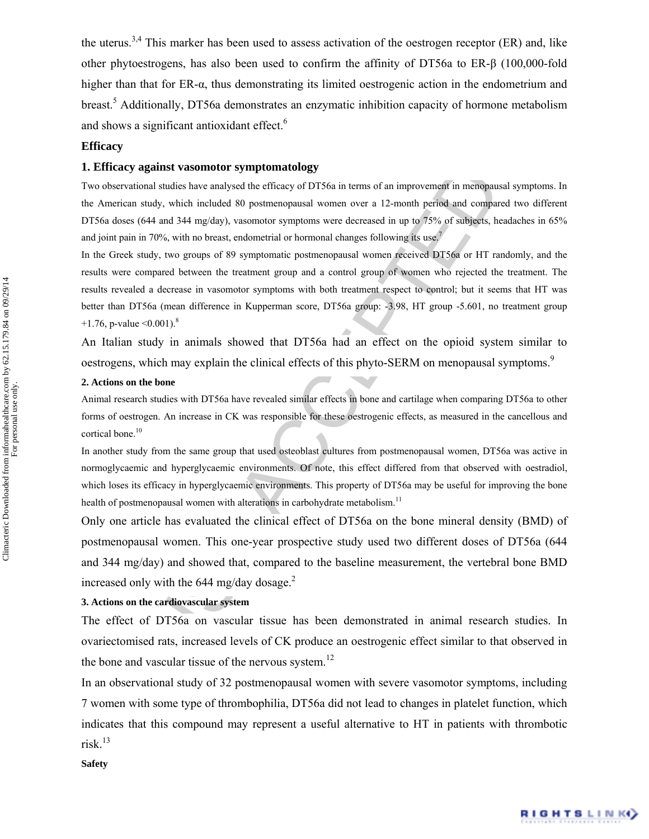the uterus.<sup>3,4</sup> This marker has been used to assess activation of the oestrogen receptor (ER) and, like other phytoestrogens, has also been used to confirm the affinity of DT56a to ER-β (100,000-fold higher than that for ER-α, thus demonstrating its limited oestrogenic action in the endometrium and breast.<sup>5</sup> Additionally, DT56a demonstrates an enzymatic inhibition capacity of hormone metabolism and shows a significant antioxidant effect.<sup>6</sup>

# **Efficacy**

#### **1. Efficacy against vasomotor symptomatology**

Two observational studies have analysed the efficacy of DT56a in terms of an improvement in menopausal symptoms. In the American study, which included 80 postmenopausal women over a 12-month period and compared two different DT56a doses (644 and 344 mg/day), vasomotor symptoms were decreased in up to 75% of subjects, headaches in 65% and joint pain in 70%, with no breast, endometrial or hormonal changes following its use.<sup>7</sup>

ey against vasomotor symptomatology<br>valuations shures on a memorial of the effects of 19186a in terms of an improvement in memopaus<br>can study, which included 80 postmenopausal women over a 12-month period and compar<br>aca s In the Greek study, two groups of 89 symptomatic postmenopausal women received DT56a or HT randomly, and the results were compared between the treatment group and a control group of women who rejected the treatment. The results revealed a decrease in vasomotor symptoms with both treatment respect to control; but it seems that HT was better than DT56a (mean difference in Kupperman score, DT56a group: -3.98, HT group -5.601, no treatment group +1.76, p-value  $\leq 0.001$ ).<sup>8</sup>

An Italian study in animals showed that DT56a had an effect on the opioid system similar to oestrogens, which may explain the clinical effects of this phyto-SERM on menopausal symptoms.<sup>9</sup>

## **2. Actions on the bone**

Animal research studies with DT56a have revealed similar effects in bone and cartilage when comparing DT56a to other forms of oestrogen. An increase in CK was responsible for these oestrogenic effects, as measured in the cancellous and cortical bone.<sup>10</sup>

In another study from the same group that used osteoblast cultures from postmenopausal women, DT56a was active in normoglycaemic and hyperglycaemic environments. Of note, this effect differed from that observed with oestradiol, which loses its efficacy in hyperglycaemic environments. This property of DT56a may be useful for improving the bone health of postmenopausal women with alterations in carbohydrate metabolism.<sup>11</sup>

Only one article has evaluated the clinical effect of DT56a on the bone mineral density (BMD) of postmenopausal women. This one-year prospective study used two different doses of DT56a (644 and 344 mg/day) and showed that, compared to the baseline measurement, the vertebral bone BMD increased only with the 644 mg/day dosage. $<sup>2</sup>$ </sup>

#### **3. Actions on the cardiovascular system**

The effect of DT56a on vascular tissue has been demonstrated in animal research studies. In ovariectomised rats, increased levels of CK produce an oestrogenic effect similar to that observed in the bone and vascular tissue of the nervous system.<sup>12</sup>

In an observational study of 32 postmenopausal women with severe vasomotor symptoms, including 7 women with some type of thrombophilia, DT56a did not lead to changes in platelet function, which indicates that this compound may represent a useful alternative to HT in patients with thrombotic risk. $13$ 

Climacteric Downloaded from informahealthcare.com by 62.15.179.84 on 09/29/14<br>For personal use only. Climacteric Downloaded from informahealthcare.com by 62.15.179.84 on 09/29/14 For personal use only.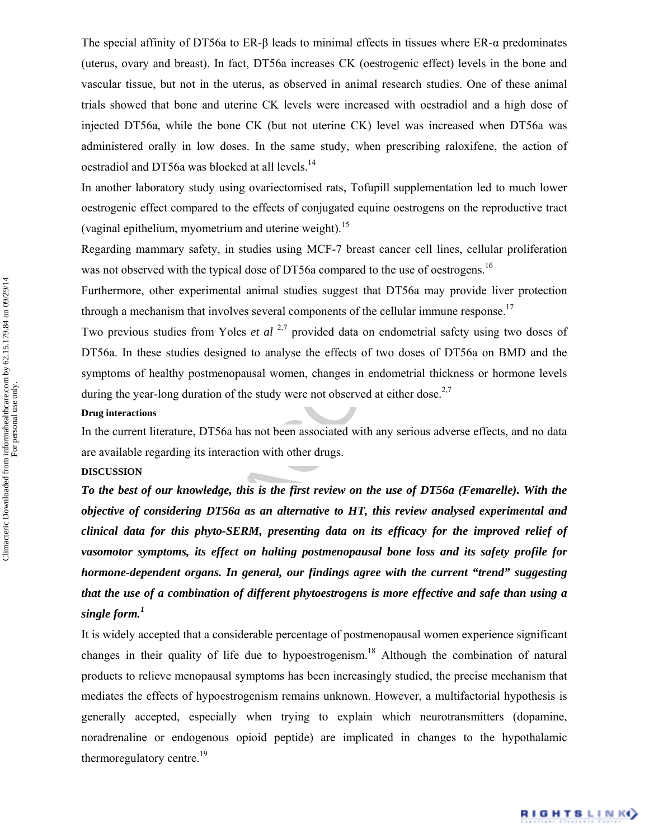The special affinity of DT56a to ER-β leads to minimal effects in tissues where ER-α predominates (uterus, ovary and breast). In fact, DT56a increases CK (oestrogenic effect) levels in the bone and vascular tissue, but not in the uterus, as observed in animal research studies. One of these animal trials showed that bone and uterine CK levels were increased with oestradiol and a high dose of injected DT56a, while the bone CK (but not uterine CK) level was increased when DT56a was administered orally in low doses. In the same study, when prescribing raloxifene, the action of oestradiol and DT56a was blocked at all levels.<sup>14</sup>

In another laboratory study using ovariectomised rats, Tofupill supplementation led to much lower oestrogenic effect compared to the effects of conjugated equine oestrogens on the reproductive tract (vaginal epithelium, myometrium and uterine weight).<sup>15</sup>

Regarding mammary safety, in studies using MCF-7 breast cancer cell lines, cellular proliferation was not observed with the typical dose of DT56a compared to the use of oestrogens.<sup>16</sup>

Furthermore, other experimental animal studies suggest that DT56a may provide liver protection through a mechanism that involves several components of the cellular immune response.<sup>17</sup>

Two previous studies from Yoles *et al* <sup>2,7</sup> provided data on endometrial safety using two doses of DT56a. In these studies designed to analyse the effects of two doses of DT56a on BMD and the symptoms of healthy postmenopausal women, changes in endometrial thickness or hormone levels during the year-long duration of the study were not observed at either dose.<sup>2,7</sup>

#### **Drug interactions**

In the current literature, DT56a has not been associated with any serious adverse effects, and no data are available regarding its interaction with other drugs.

## **DISCUSSION**

al and DT56a was blocked at all levels."<br>
The laboratory study using ovariectomised rats, Tofupill supplementation led ter laboratory study using ovariectomised rats, Tofupill supplementation led terms effect compared to *To the best of our knowledge, this is the first review on the use of DT56a (Femarelle). With the objective of considering DT56a as an alternative to HT, this review analysed experimental and clinical data for this phyto-SERM, presenting data on its efficacy for the improved relief of vasomotor symptoms, its effect on halting postmenopausal bone loss and its safety profile for hormone-dependent organs. In general, our findings agree with the current "trend" suggesting that the use of a combination of different phytoestrogens is more effective and safe than using a single form.<sup>1</sup>*

It is widely accepted that a considerable percentage of postmenopausal women experience significant changes in their quality of life due to hypoestrogenism.<sup>18</sup> Although the combination of natural products to relieve menopausal symptoms has been increasingly studied, the precise mechanism that mediates the effects of hypoestrogenism remains unknown. However, a multifactorial hypothesis is generally accepted, especially when trying to explain which neurotransmitters (dopamine, noradrenaline or endogenous opioid peptide) are implicated in changes to the hypothalamic thermoregulatory centre.<sup>19</sup>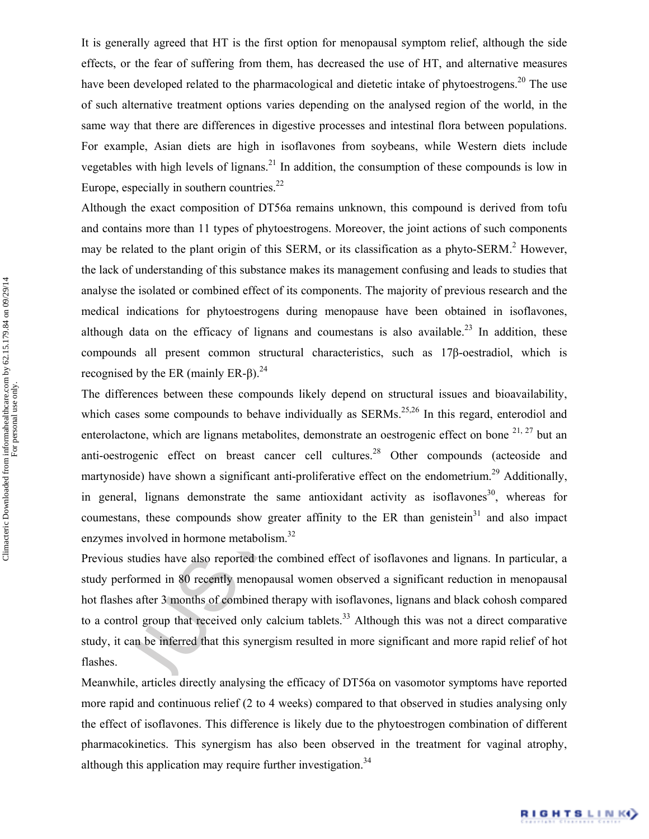It is generally agreed that HT is the first option for menopausal symptom relief, although the side effects, or the fear of suffering from them, has decreased the use of HT, and alternative measures have been developed related to the pharmacological and dietetic intake of phytoestrogens.<sup>20</sup> The use of such alternative treatment options varies depending on the analysed region of the world, in the same way that there are differences in digestive processes and intestinal flora between populations. For example, Asian diets are high in isoflavones from soybeans, while Western diets include vegetables with high levels of lignans.<sup>21</sup> In addition, the consumption of these compounds is low in Europe, especially in southern countries. $^{22}$ 

Es with high levels of lignans.<sup>43</sup> In addition, the consumption of these compotes especially in southern countries.<sup>23</sup> In addition, the consumption of these composite specially in southern contries.<sup>23</sup> In the exact com Although the exact composition of DT56a remains unknown, this compound is derived from tofu and contains more than 11 types of phytoestrogens. Moreover, the joint actions of such components may be related to the plant origin of this SERM, or its classification as a phyto-SERM.<sup>2</sup> However, the lack of understanding of this substance makes its management confusing and leads to studies that analyse the isolated or combined effect of its components. The majority of previous research and the medical indications for phytoestrogens during menopause have been obtained in isoflavones, although data on the efficacy of lignans and coumestans is also available.<sup>23</sup> In addition, these compounds all present common structural characteristics, such as 17β-oestradiol, which is recognised by the ER (mainly ER-β).<sup>24</sup>

The differences between these compounds likely depend on structural issues and bioavailability, which cases some compounds to behave individually as  $SERMs$ <sup>25,26</sup> In this regard, enterodiol and enterolactone, which are lignans metabolites, demonstrate an oestrogenic effect on bone  $2^{1, 27}$  but an anti-oestrogenic effect on breast cancer cell cultures.<sup>28</sup> Other compounds (acteoside and martynoside) have shown a significant anti-proliferative effect on the endometrium.<sup>29</sup> Additionally, in general, lignans demonstrate the same antioxidant activity as isoflavones<sup>30</sup>, whereas for coumestans, these compounds show greater affinity to the ER than genistein<sup>31</sup> and also impact enzymes involved in hormone metabolism.<sup>32</sup>

Previous studies have also reported the combined effect of isoflavones and lignans. In particular, a study performed in 80 recently menopausal women observed a significant reduction in menopausal hot flashes after 3 months of combined therapy with isoflavones, lignans and black cohosh compared to a control group that received only calcium tablets.<sup>33</sup> Although this was not a direct comparative study, it can be inferred that this synergism resulted in more significant and more rapid relief of hot flashes.

Meanwhile, articles directly analysing the efficacy of DT56a on vasomotor symptoms have reported more rapid and continuous relief (2 to 4 weeks) compared to that observed in studies analysing only the effect of isoflavones. This difference is likely due to the phytoestrogen combination of different pharmacokinetics. This synergism has also been observed in the treatment for vaginal atrophy, although this application may require further investigation.<sup>34</sup>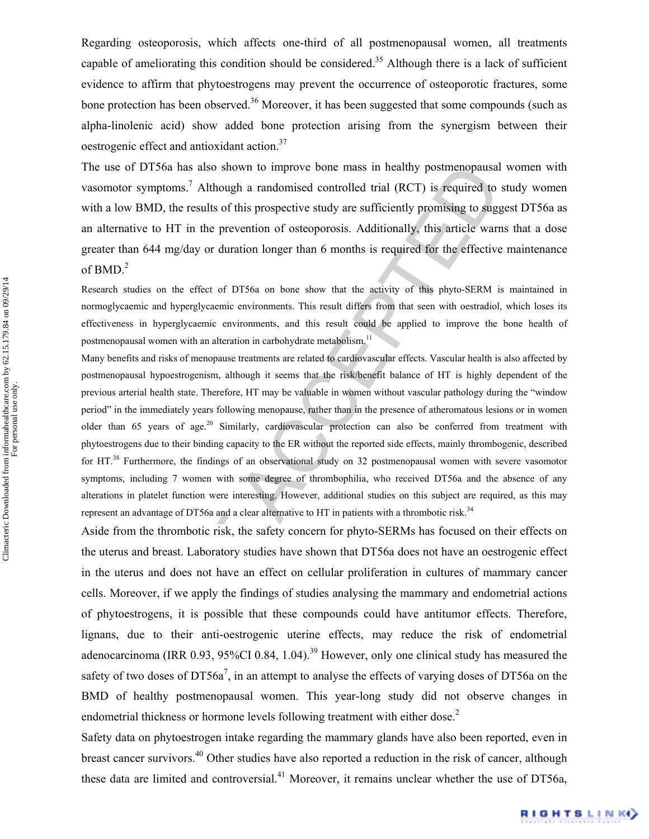Regarding osteoporosis, which affects one-third of all postmenopausal women, all treatments capable of ameliorating this condition should be considered.<sup>35</sup> Although there is a lack of sufficient evidence to affirm that phytoestrogens may prevent the occurrence of osteoporotic fractures, some bone protection has been observed.<sup>36</sup> Moreover, it has been suggested that some compounds (such as alpha-linolenic acid) show added bone protection arising from the synergism between their oestrogenic effect and antioxidant action.37

The use of DT56a has also shown to improve bone mass in healthy postmenopausal women with vasomotor symptoms.<sup>7</sup> Although a randomised controlled trial (RCT) is required to study women with a low BMD, the results of this prospective study are sufficiently promising to suggest DT56a as an alternative to HT in the prevention of osteoporosis. Additionally, this article warns that a dose greater than 644 mg/day or duration longer than 6 months is required for the effective maintenance of BMD.<sup>2</sup>

Research studies on the effect of DT56a on bone show that the activity of this phyto-SERM is maintained in normoglycaemic and hyperglycaemic environments. This result differs from that seen with oestradiol, which loses its effectiveness in hyperglycaemic environments, and this result could be applied to improve the bone health of postmenopausal women with an alteration in carbohydrate metabolism.<sup>11</sup>

Many benefits and risks of menopause treatments are related to cardiovascular effects. Vascular health is also affected by postmenopausal hypoestrogenism, although it seems that the risk/benefit balance of HT is highly dependent of the previous arterial health state. Therefore, HT may be valuable in women without vascular pathology during the "window period" in the immediately years following menopause, rather than in the presence of atheromatous lesions or in women older than 65 years of age.<sup>20</sup> Similarly, cardiovascular protection can also be conferred from treatment with phytoestrogens due to their binding capacity to the ER without the reported side effects, mainly thrombogenic, described for HT.<sup>38</sup> Furthermore, the findings of an observational study on 32 postmenopausal women with severe vasomotor symptoms, including 7 women with some degree of thrombophilia, who received DT56a and the absence of any alterations in platelet function were interesting. However, additional studies on this subject are required, as this may represent an advantage of DT56a and a clear alternative to HT in patients with a thrombotic risk.<sup>34</sup>

of DT56a has also shown to improve bone mass in healthy postmenopausal<br>or symptoms<sup>7</sup>. Although a randomised controlled trial (RCT) is required to<br>the WBMD, the results of this prospective study are sufficiently promising Aside from the thrombotic risk, the safety concern for phyto-SERMs has focused on their effects on the uterus and breast. Laboratory studies have shown that DT56a does not have an oestrogenic effect in the uterus and does not have an effect on cellular proliferation in cultures of mammary cancer cells. Moreover, if we apply the findings of studies analysing the mammary and endometrial actions of phytoestrogens, it is possible that these compounds could have antitumor effects. Therefore, lignans, due to their anti-oestrogenic uterine effects, may reduce the risk of endometrial adenocarcinoma (IRR 0.93, 95%CI 0.84, 1.04).<sup>39</sup> However, only one clinical study has measured the safety of two doses of DT56a<sup>7</sup>, in an attempt to analyse the effects of varying doses of DT56a on the BMD of healthy postmenopausal women. This year-long study did not observe changes in endometrial thickness or hormone levels following treatment with either dose.<sup>2</sup>

Safety data on phytoestrogen intake regarding the mammary glands have also been reported, even in breast cancer survivors.<sup>40</sup> Other studies have also reported a reduction in the risk of cancer, although these data are limited and controversial.<sup>41</sup> Moreover, it remains unclear whether the use of DT56a,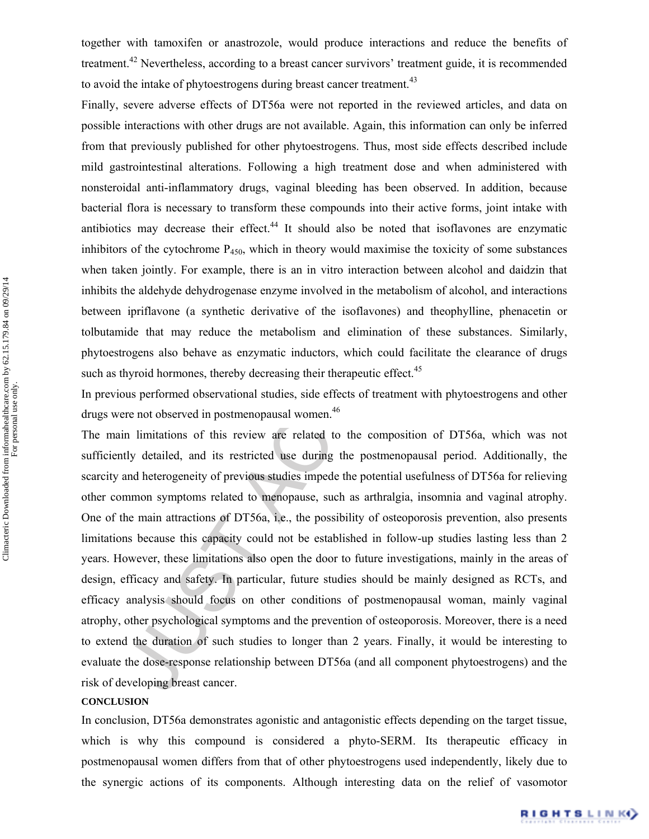together with tamoxifen or anastrozole, would produce interactions and reduce the benefits of treatment.42 Nevertheless, according to a breast cancer survivors' treatment guide, it is recommended to avoid the intake of phytoestrogens during breast cancer treatment.<sup>43</sup>

Finally, severe adverse effects of DT56a were not reported in the reviewed articles, and data on possible interactions with other drugs are not available. Again, this information can only be inferred from that previously published for other phytoestrogens. Thus, most side effects described include mild gastrointestinal alterations. Following a high treatment dose and when administered with nonsteroidal anti-inflammatory drugs, vaginal bleeding has been observed. In addition, because bacterial flora is necessary to transform these compounds into their active forms, joint intake with antibiotics may decrease their effect.<sup>44</sup> It should also be noted that isoflavones are enzymatic inhibitors of the cytochrome  $P_{450}$ , which in theory would maximise the toxicity of some substances when taken jointly. For example, there is an in vitro interaction between alcohol and daidzin that inhibits the aldehyde dehydrogenase enzyme involved in the metabolism of alcohol, and interactions between ipriflavone (a synthetic derivative of the isoflavones) and theophylline, phenacetin or tolbutamide that may reduce the metabolism and elimination of these substances. Similarly, phytoestrogens also behave as enzymatic inductors, which could facilitate the clearance of drugs such as thyroid hormones, thereby decreasing their therapeutic effect.<sup>45</sup>

In previous performed observational studies, side effects of treatment with phytoestrogens and other drugs were not observed in postmenopausal women.<sup>46</sup>

stromitestimal alterations. Following a high treatment dose and when administanal anti-inflammatory drugs, vaginal bleeding has been observed. In additional anti-inflammatory drugs (means between their effect<sup>44</sup> It shoul The main limitations of this review are related to the composition of DT56a, which was not sufficiently detailed, and its restricted use during the postmenopausal period. Additionally, the scarcity and heterogeneity of previous studies impede the potential usefulness of DT56a for relieving other common symptoms related to menopause, such as arthralgia, insomnia and vaginal atrophy. One of the main attractions of DT56a, i.e., the possibility of osteoporosis prevention, also presents limitations because this capacity could not be established in follow-up studies lasting less than 2 years. However, these limitations also open the door to future investigations, mainly in the areas of design, efficacy and safety. In particular, future studies should be mainly designed as RCTs, and efficacy analysis should focus on other conditions of postmenopausal woman, mainly vaginal atrophy, other psychological symptoms and the prevention of osteoporosis. Moreover, there is a need to extend the duration of such studies to longer than 2 years. Finally, it would be interesting to evaluate the dose-response relationship between DT56a (and all component phytoestrogens) and the risk of developing breast cancer.

#### **CONCLUSION**

In conclusion, DT56a demonstrates agonistic and antagonistic effects depending on the target tissue, which is why this compound is considered a phyto-SERM. Its therapeutic efficacy in postmenopausal women differs from that of other phytoestrogens used independently, likely due to the synergic actions of its components. Although interesting data on the relief of vasomotor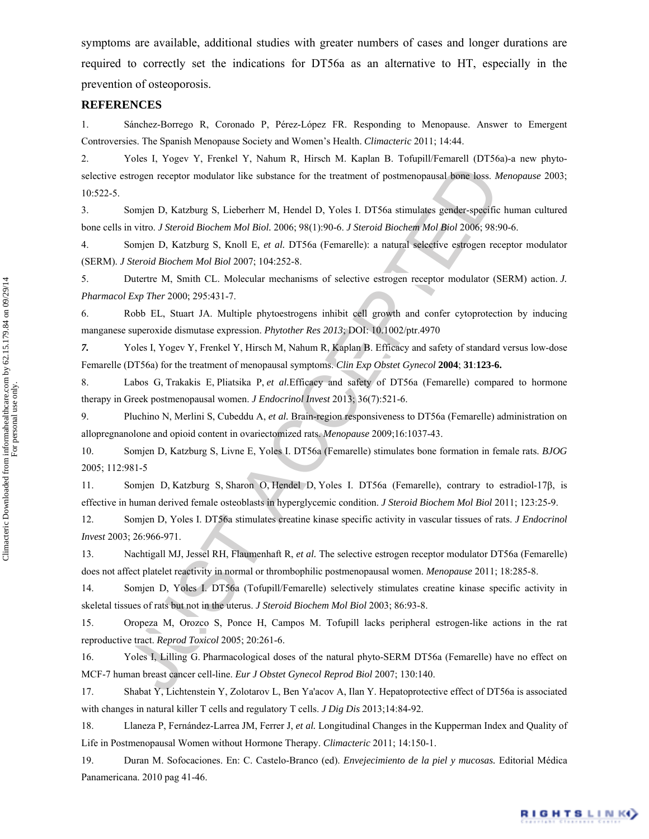symptoms are available, additional studies with greater numbers of cases and longer durations are required to correctly set the indications for DT56a as an alternative to HT, especially in the prevention of osteoporosis.

# **REFERENCES**

1. Sánchez-Borrego R, Coronado P, Pérez-López FR. Responding to Menopause. Answer to Emergent Controversies. The Spanish Menopause Society and Women's Health. *Climacteric* 2011; 14:44.

strogen receptor modulator like substance for the treatment of postmenopausal bone loss. *k*Sonjen D, Katzburg S, Lieberherr M, Hendel D, Yoles I. DT56a stimulates gender-specifie in vitro. *J Steroid Biochem Mol Biol.* 2 2. Yoles I, Yogev Y, Frenkel Y, Nahum R, Hirsch M. Kaplan B. Tofupill/Femarell (DT56a)-a new phytoselective estrogen receptor modulator like substance for the treatment of postmenopausal bone loss. *Menopause* 2003; 10:522-5.

3. Somjen D, Katzburg S, Lieberherr M, Hendel D, Yoles I. DT56a stimulates gender-specific human cultured bone cells in vitro. *J Steroid Biochem Mol Biol.* 2006; 98(1):90-6. *J Steroid Biochem Mol Biol* 2006; 98:90-6.

4. Somjen D, Katzburg S, Knoll E, *et al.* DT56a (Femarelle): a natural selective estrogen receptor modulator (SERM). *J Steroid Biochem Mol Biol* 2007; 104:252-8.

5. Dutertre M, Smith CL. Molecular mechanisms of selective estrogen receptor modulator (SERM) action. *J. Pharmacol Exp Ther* 2000; 295:431-7.

6. Robb EL, Stuart JA. Multiple phytoestrogens inhibit cell growth and confer cytoprotection by inducing manganese superoxide dismutase expression. *Phytother Res 2013*; DOI: 10.1002/ptr.4970

*7.* Yoles I, Yogev Y, Frenkel Y, Hirsch M, Nahum R, Kaplan B. Efficacy and safety of standard versus low-dose Femarelle (DT56a) for the treatment of menopausal symptoms. *Clin Exp Obstet Gynecol* **2004**; **31**:**123-6.**

8. Labos G, Trakakis E, Pliatsika P, *et al.*Efficacy and safety of DT56a (Femarelle) compared to hormone therapy in Greek postmenopausal women. *J Endocrinol Invest* 2013; 36(7):521-6.

9. Pluchino N, Merlini S, Cubeddu A, *et al.* Brain-region responsiveness to DT56a (Femarelle) administration on allopregnanolone and opioid content in ovariectomized rats. *Menopause* 2009;16:1037-43.

10. Somjen D, Katzburg S, Livne E, Yoles I. DT56a (Femarelle) stimulates bone formation in female rats. *BJOG*  2005; 112:981-5

11. Somjen D, Katzburg S, Sharon O, Hendel D, Yoles I. DT56a (Femarelle), contrary to estradiol-17β, is effective in human derived female osteoblasts in hyperglycemic condition. *J Steroid Biochem Mol Biol* 2011; 123:25-9.

12. Somjen D, Yoles I. DT56a stimulates creatine kinase specific activity in vascular tissues of rats. *J Endocrinol Invest* 2003; 26:966-971.

13. Nachtigall MJ, Jessel RH, Flaumenhaft R, *et al.* The selective estrogen receptor modulator DT56a (Femarelle) does not affect platelet reactivity in normal or thrombophilic postmenopausal women. *Menopause* 2011; 18:285-8.

14. Somjen D, Yoles I. DT56a (Tofupill/Femarelle) selectively stimulates creatine kinase specific activity in skeletal tissues of rats but not in the uterus. *J Steroid Biochem Mol Biol* 2003; 86:93-8.

15. Oropeza M, Orozco S, Ponce H, Campos M. Tofupill lacks peripheral estrogen-like actions in the rat reproductive tract. *Reprod Toxicol* 2005; 20:261-6.

16. Yoles I, Lilling G. Pharmacological doses of the natural phyto-SERM DT56a (Femarelle) have no effect on MCF-7 human breast cancer cell-line. *Eur J Obstet Gynecol Reprod Biol* 2007; 130:140.

17. Shabat Y, Lichtenstein Y, Zolotarov L, Ben Ya'acov A, Ilan Y. Hepatoprotective effect of DT56a is associated with changes in natural killer T cells and regulatory T cells. *J Dig Dis* 2013;14:84-92.

18. Llaneza P, Fernández-Larrea JM, Ferrer J, *et al.* Longitudinal Changes in the Kupperman Index and Quality of Life in Postmenopausal Women without Hormone Therapy. *Climacteric* 2011; 14:150-1.

19. Duran M. Sofocaciones. En: C. Castelo-Branco (ed). *Envejecimiento de la piel y mucosas.* Editorial Médica Panamericana. 2010 pag 41-46.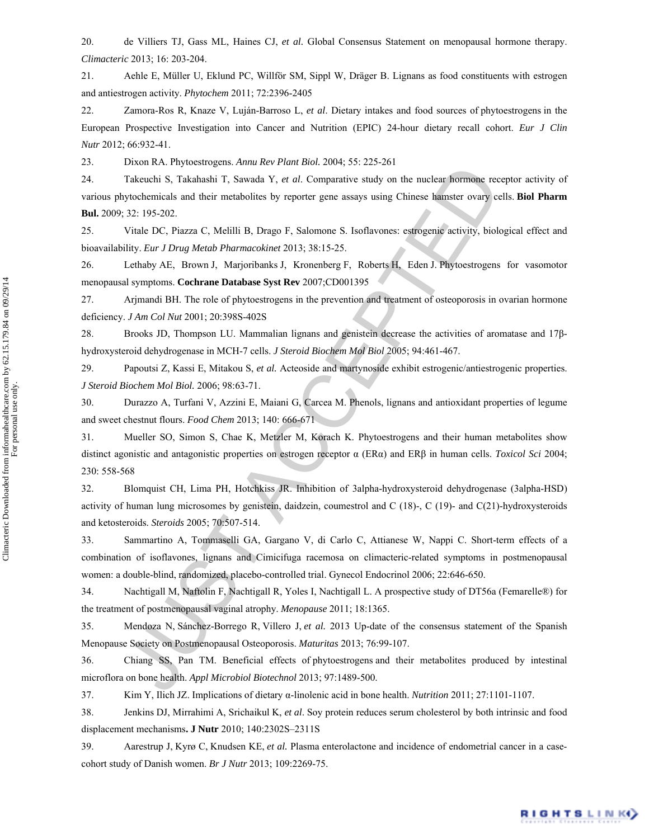20. de Villiers TJ, Gass ML, Haines CJ, *et al.* Global Consensus Statement on menopausal hormone therapy. *Climacteric* 2013; 16: 203-204.

21. Aehle E, Müller U, Eklund PC, Willför SM, Sippl W, Dräger B. Lignans as food constituents with estrogen and antiestrogen activity. *Phytochem* 2011; 72:2396-2405

22. Zamora-Ros R, Knaze V, Luján-Barroso L, *et al*. Dietary intakes and food sources of phytoestrogens in the European Prospective Investigation into Cancer and Nutrition (EPIC) 24-hour dietary recall cohort. *Eur J Clin Nutr* 2012; 66:932-41.

23. Dixon RA. Phytoestrogens. *Annu Rev Plant Biol.* 2004; 55: 225-261

24. Takeuchi S, Takahashi T, Sawada Y, *et al*. Comparative study on the nuclear hormone receptor activity of various phytochemicals and their metabolites by reporter gene assays using Chinese hamster ovary cells. **Biol Pharm Bul.** 2009; 32: 195-202.

25. Vitale DC, Piazza C, Melilli B, Drago F, Salomone S. Isoflavones: estrogenic activity, biological effect and bioavailability. *Eur J Drug Metab Pharmacokinet* 2013; 38:15-25.

26. Lethaby AE, Brown J, Marjoribanks J, Kronenberg F, Roberts H, Eden J. Phytoestrogens for vasomotor menopausal symptoms. **Cochrane Database Syst Rev** 2007;CD001395

27. Arjmandi BH. The role of phytoestrogens in the prevention and treatment of osteoporosis in ovarian hormone deficiency. *J Am Col Nut* 2001; 20:398S-402S

28. Brooks JD, Thompson LU. Mammalian lignans and genistein decrease the activities of aromatase and 17βhydroxysteroid dehydrogenase in MCH-7 cells. *J Steroid Biochem Mol Biol* 2005; 94:461-467.

29. Papoutsi Z, Kassi E, Mitakou S, *et al.* Acteoside and martynoside exhibit estrogenic/antiestrogenic properties. *J Steroid Biochem Mol Biol.* 2006; 98:63-71.

30. Durazzo A, Turfani V, Azzini E, Maiani G, Carcea M. Phenols, lignans and antioxidant properties of legume and sweet chestnut flours. *Food Chem* 2013; 140: 666-671

*Distance is a* syncary and *V i at als comparitive study on the nuclear forming reaction*<br> *Takeuchi* S, Takahashi T. Swada *Y*, *et al.* Comparitive study on the nuclear forming reduced<br> *Y i.22* 195-202.<br> *Yier and* 31. Mueller SO, Simon S, Chae K, Metzler M, Korach K. Phytoestrogens and their human metabolites show distinct agonistic and antagonistic properties on estrogen receptor α (ERα) and ERβ in human cells. *Toxicol Sci* 2004; 230: 558-568

32. Blomquist CH, Lima PH, Hotchkiss JR. Inhibition of 3alpha-hydroxysteroid dehydrogenase (3alpha-HSD) activity of human lung microsomes by genistein, daidzein, coumestrol and C (18)-, C (19)- and C(21)-hydroxysteroids and ketosteroids. *Steroids* 2005; 70:507-514.

33. Sammartino A, Tommaselli GA, Gargano V, di Carlo C, Attianese W, Nappi C. Short-term effects of a combination of isoflavones, lignans and Cimicifuga racemosa on climacteric-related symptoms in postmenopausal women: a double-blind, randomized, placebo-controlled trial. Gynecol Endocrinol 2006; 22:646-650.

34. Nachtigall M, Naftolin F, Nachtigall R, Yoles I, Nachtigall L. A prospective study of DT56a (Femarelle®) for the treatment of postmenopausal vaginal atrophy. *Menopause* 2011; 18:1365.

35. Mendoza N, Sánchez-Borrego R, Villero J, *et al.* 2013 Up-date of the consensus statement of the Spanish Menopause Society on Postmenopausal Osteoporosis. *Maturitas* 2013; 76:99-107.

36. Chiang SS, Pan TM. Beneficial effects of phytoestrogens and their metabolites produced by intestinal microflora on bone health. *Appl Microbiol Biotechnol* 2013; 97:1489-500.

37. Kim Y, Ilich JZ. Implications of dietary α-linolenic acid in bone health. *Nutrition* 2011; 27:1101-1107.

38. Jenkins DJ, Mirrahimi A, Srichaikul K, *et al*. Soy protein reduces serum cholesterol by both intrinsic and food displacement mechanisms**. J Nutr** 2010; 140:2302S–2311S

39. Aarestrup J, Kyrø C, Knudsen KE, *et al.* Plasma enterolactone and incidence of endometrial cancer in a casecohort study of Danish women. *Br J Nutr* 2013; 109:2269-75.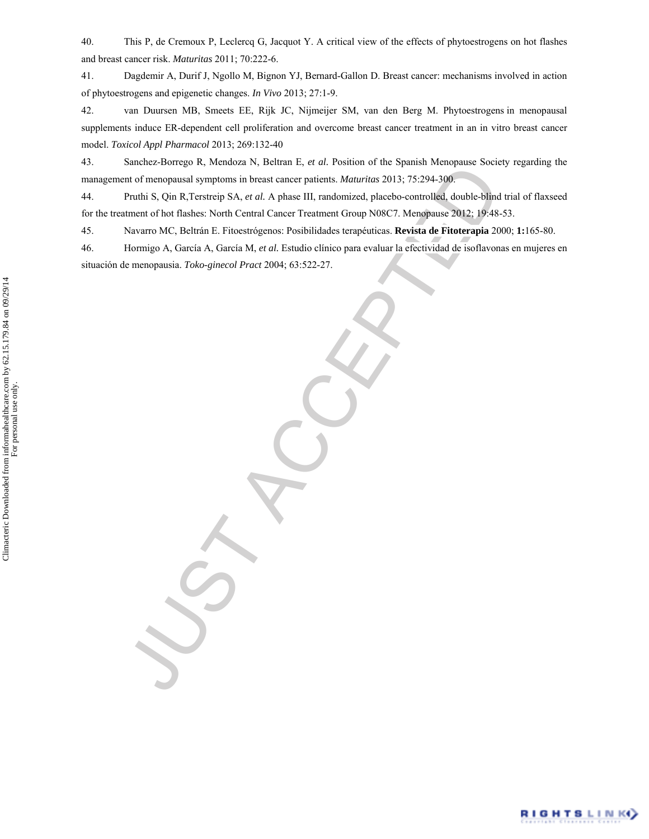40. This P, de Cremoux P, Leclercq G, Jacquot Y. A critical view of the effects of phytoestrogens on hot flashes and breast cancer risk. *Maturitas* 2011; 70:222-6.

41. Dagdemir A, Durif J, Ngollo M, Bignon YJ, Bernard-Gallon D. Breast cancer: mechanisms involved in action of phytoestrogens and epigenetic changes. *In Vivo* 2013; 27:1-9.

42. van Duursen MB, Smeets EE, Rijk JC, Nijmeijer SM, van den Berg M. Phytoestrogens in menopausal supplements induce ER-dependent cell proliferation and overcome breast cancer treatment in an in vitro breast cancer model. *Toxicol Appl Pharmacol* 2013; 269:132-40

43. Sanchez-Borrego R, Mendoza N, Beltran E, *et al.* Position of the Spanish Menopause Society regarding the management of menopausal symptoms in breast cancer patients. *Maturitas* 2013; 75:294-300.

44. Pruthi S, Qin R,Terstreip SA, *et al.* A phase III, randomized, placebo-controlled, double-blind trial of flaxseed for the treatment of hot flashes: North Central Cancer Treatment Group N08C7. Menopause 2012; 19:48-53.

45. Navarro MC, Beltrán E. Fitoestrógenos: Posibilidades terapéuticas. **Revista de Fitoterapia** 2000; **1:**165-80.

46. Hormigo A, García A, García M, *et al.* Estudio clínico para evaluar la efectividad de isoflavonas en mujeres en situación de menopausia. *Toko-ginecol Pract* 2004; 63:522-27.

outent-son-tego N, scheman and the state and the state of the state of the measurement of the measurement of the finance materials. *Maturitas* 2013; 75:294-306<br>Pruhi S, Qin R, Terstreip SA, *et al.* A phase III, rundomize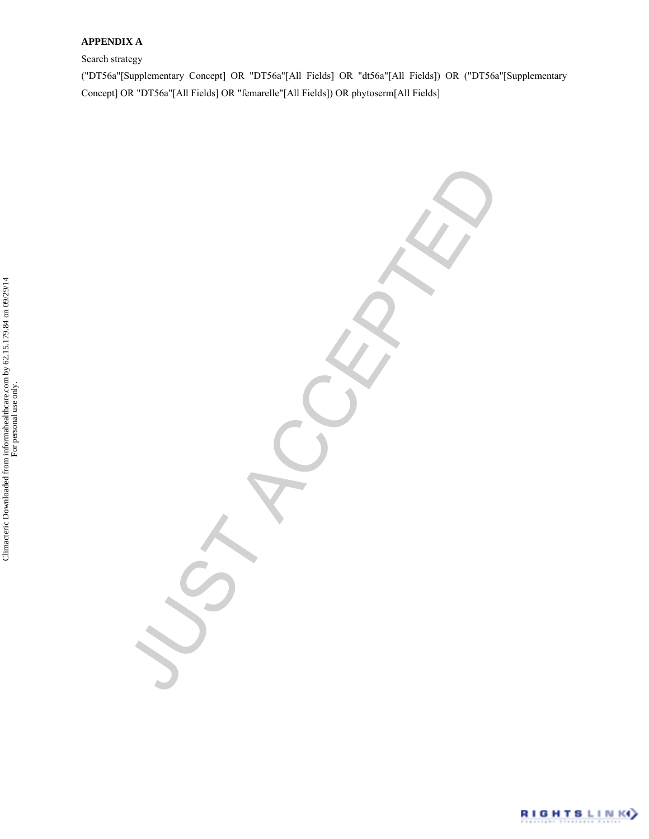# **APPENDIX A**

Search strategy

("DT56a"[Supplementary Concept] OR "DT56a"[All Fields] OR "dt56a"[All Fields]) OR ("DT56a"[Supplementary Concept] OR "DT56a"[All Fields] OR "femarelle"[All Fields]) OR phytoserm[All Fields]

VST ACCEPTED

RIGHTSLINK<sup>Y</sup>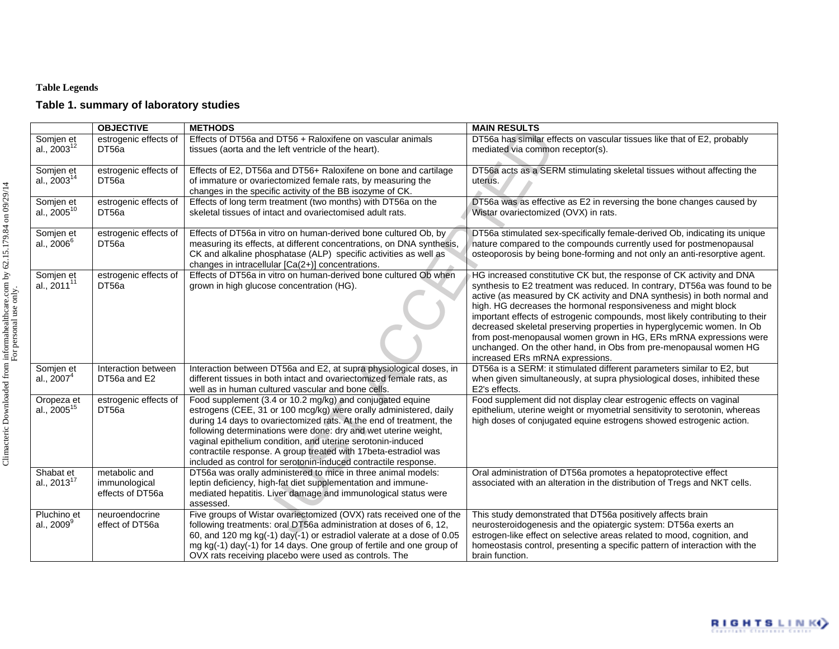# **Table Legends**

# **Table 1. summary of laboratory studies**

|                                      | <b>OBJECTIVE</b>                                   | <b>METHODS</b>                                                                                                                                                                                                                                                                                                                                                                                                                                                                | <b>MAIN RESULTS</b>                                                                                                                                                                                                                                                                                                                                                                                                                                                                                                                                                                                                                     |
|--------------------------------------|----------------------------------------------------|-------------------------------------------------------------------------------------------------------------------------------------------------------------------------------------------------------------------------------------------------------------------------------------------------------------------------------------------------------------------------------------------------------------------------------------------------------------------------------|-----------------------------------------------------------------------------------------------------------------------------------------------------------------------------------------------------------------------------------------------------------------------------------------------------------------------------------------------------------------------------------------------------------------------------------------------------------------------------------------------------------------------------------------------------------------------------------------------------------------------------------------|
| Somjen et<br>al., $2003^{12}$        | estrogenic effects of<br>DT56a                     | Effects of DT56a and DT56 + Raloxifene on vascular animals<br>tissues (aorta and the left ventricle of the heart).                                                                                                                                                                                                                                                                                                                                                            | DT56a has similar effects on vascular tissues like that of E2, probably<br>mediated via common receptor(s).                                                                                                                                                                                                                                                                                                                                                                                                                                                                                                                             |
| Somjen et<br>al., 2003 <sup>14</sup> | estrogenic effects of<br>DT56a                     | Effects of E2, DT56a and DT56+ Raloxifene on bone and cartilage<br>of immature or ovariectomized female rats, by measuring the<br>changes in the specific activity of the BB isozyme of CK.                                                                                                                                                                                                                                                                                   | DT56a acts as a SERM stimulating skeletal tissues without affecting the<br>uterus.                                                                                                                                                                                                                                                                                                                                                                                                                                                                                                                                                      |
| Somjen et<br>al., $2005^{10}$        | estrogenic effects of<br>DT56a                     | Effects of long term treatment (two months) with DT56a on the<br>skeletal tissues of intact and ovariectomised adult rats.                                                                                                                                                                                                                                                                                                                                                    | DT56a was as effective as E2 in reversing the bone changes caused by<br>Wistar ovariectomized (OVX) in rats.                                                                                                                                                                                                                                                                                                                                                                                                                                                                                                                            |
| Somjen et<br>al., 2006 <sup>6</sup>  | estrogenic effects of<br>DT56a                     | Effects of DT56a in vitro on human-derived bone cultured Ob, by<br>measuring its effects, at different concentrations, on DNA synthesis,<br>CK and alkaline phosphatase (ALP) specific activities as well as<br>changes in intracellular [Ca(2+)] concentrations.                                                                                                                                                                                                             | DT56a stimulated sex-specifically female-derived Ob, indicating its unique<br>nature compared to the compounds currently used for postmenopausal<br>osteoporosis by being bone-forming and not only an anti-resorptive agent.                                                                                                                                                                                                                                                                                                                                                                                                           |
| Somjen et<br>al., 2011 <sup>11</sup> | estrogenic effects of<br>DT56a                     | Effects of DT56a in vitro on human-derived bone cultured Ob when<br>grown in high glucose concentration (HG).                                                                                                                                                                                                                                                                                                                                                                 | HG increased constitutive CK but, the response of CK activity and DNA<br>synthesis to E2 treatment was reduced. In contrary, DT56a was found to be<br>active (as measured by CK activity and DNA synthesis) in both normal and<br>high. HG decreases the hormonal responsiveness and might block<br>important effects of estrogenic compounds, most likely contributing to their<br>decreased skeletal preserving properties in hyperglycemic women. In Ob<br>from post-menopausal women grown in HG, ERs mRNA expressions were<br>unchanged. On the other hand, in Obs from pre-menopausal women HG<br>increased ERs mRNA expressions. |
| Somjen et<br>al., $20074$            | Interaction between<br>DT56a and E2                | Interaction between DT56a and E2, at supra physiological doses, in<br>different tissues in both intact and ovariectomized female rats, as<br>well as in human cultured vascular and bone cells.                                                                                                                                                                                                                                                                               | DT56a is a SERM: it stimulated different parameters similar to E2, but<br>when given simultaneously, at supra physiological doses, inhibited these<br>E2's effects.                                                                                                                                                                                                                                                                                                                                                                                                                                                                     |
| Oropeza et<br>al., $2005^{15}$       | estrogenic effects of<br>DT56a                     | Food supplement (3.4 or 10.2 mg/kg) and conjugated equine<br>estrogens (CEE, 31 or 100 mcg/kg) were orally administered, daily<br>during 14 days to ovariectomized rats. At the end of treatment, the<br>following determinations were done: dry and wet uterine weight,<br>vaginal epithelium condition, and uterine serotonin-induced<br>contractile response. A group treated with 17beta-estradiol was<br>included as control for serotonin-induced contractile response. | Food supplement did not display clear estrogenic effects on vaginal<br>epithelium, uterine weight or myometrial sensitivity to serotonin, whereas<br>high doses of conjugated equine estrogens showed estrogenic action.                                                                                                                                                                                                                                                                                                                                                                                                                |
| Shabat et<br>al., 2013 <sup>17</sup> | metabolic and<br>immunological<br>effects of DT56a | DT56a was orally administered to mice in three animal models:<br>leptin deficiency, high-fat diet supplementation and immune-<br>mediated hepatitis. Liver damage and immunological status were<br>assessed.                                                                                                                                                                                                                                                                  | Oral administration of DT56a promotes a hepatoprotective effect<br>associated with an alteration in the distribution of Tregs and NKT cells.                                                                                                                                                                                                                                                                                                                                                                                                                                                                                            |
| Pluchino et<br>al., $2009^9$         | neuroendocrine<br>effect of DT56a                  | Five groups of Wistar ovariectomized (OVX) rats received one of the<br>following treatments: oral DT56a administration at doses of 6, 12,<br>60, and 120 mg kg(-1) day(-1) or estradiol valerate at a dose of 0.05<br>mg kg(-1) day(-1) for 14 days. One group of fertile and one group of<br>OVX rats receiving placebo were used as controls. The                                                                                                                           | This study demonstrated that DT56a positively affects brain<br>neurosteroidogenesis and the opiatergic system: DT56a exerts an<br>estrogen-like effect on selective areas related to mood, cognition, and<br>homeostasis control, presenting a specific pattern of interaction with the<br>brain function.                                                                                                                                                                                                                                                                                                                              |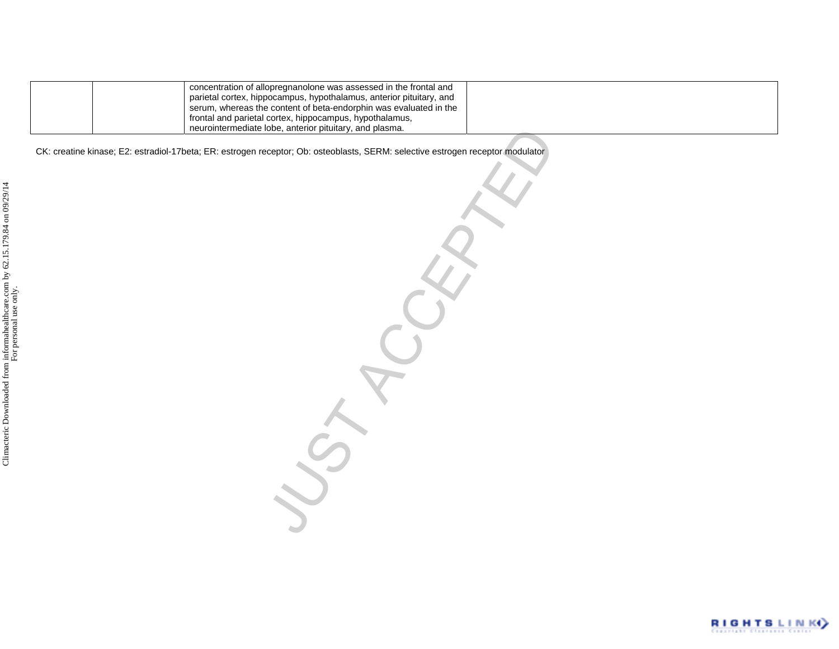|  | concentration of allopregnanolone was assessed in the frontal and                                                                        |  |
|--|------------------------------------------------------------------------------------------------------------------------------------------|--|
|  | parietal cortex, hippocampus, hypothalamus, anterior pituitary, and<br>serum, whereas the content of beta-endorphin was evaluated in the |  |
|  | frontal and parietal cortex, hippocampus, hypothalamus,                                                                                  |  |
|  | neurointermediate lobe, anterior pituitary, and plasma.                                                                                  |  |

The American pituliary, and plasma.<br>Beeptor; Ob: osteoblasts, SERM: selective estrogen receptor modulator<br>Acceptor; Ob: osteoblasts, SERM: selective estrogen receptor modulator CK: creatine kinase; E2: estradiol-17beta; ER: estrogen receptor; Ob: osteoblasts, SERM: selective estrogen receptor modulator